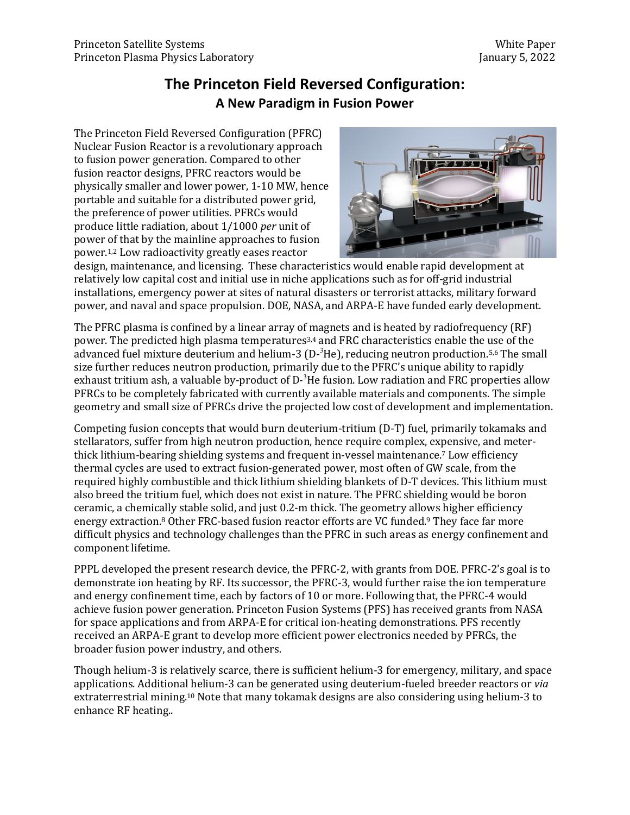## **The Princeton Field Reversed Configuration: A New Paradigm in Fusion Power**

The Princeton Field Reversed Configuration (PFRC) Nuclear Fusion Reactor is a revolutionary approach to fusion power generation. Compared to other fusion reactor designs, PFRC reactors would be physically smaller and lower power, 1-10 MW, hence portable and suitable for a distributed power grid, the preference of power utilities. PFRCs would produce little radiation, about 1/1000 *per* unit of power of that by the mainline approaches to fusion power.<sup>1,2</sup> Low radioactivity greatly eases reactor



design, maintenance, and licensing. These characteristics would enable rapid development at relatively low capital cost and initial use in niche applications such as for off-grid industrial installations, emergency power at sites of natural disasters or terrorist attacks, military forward power, and naval and space propulsion. DOE, NASA, and ARPA-E have funded early development.

The PFRC plasma is confined by a linear array of magnets and is heated by radiofrequency (RF) power. The predicted high plasma temperatures<sup>3,4</sup> and FRC characteristics enable the use of the advanced fuel mixture deuterium and helium-3 (D- $3$ He), reducing neutron production.<sup>5,6</sup> The small size further reduces neutron production, primarily due to the PFRC's unique ability to rapidly exhaust tritium ash, a valuable by-product of D- $3$ He fusion. Low radiation and FRC properties allow PFRCs to be completely fabricated with currently available materials and components. The simple geometry and small size of PFRCs drive the projected low cost of development and implementation.

Competing fusion concepts that would burn deuterium-tritium  $(D-T)$  fuel, primarily tokamaks and stellarators, suffer from high neutron production, hence require complex, expensive, and meterthick lithium-bearing shielding systems and frequent in-vessel maintenance.<sup>7</sup> Low efficiency thermal cycles are used to extract fusion-generated power, most often of GW scale, from the required highly combustible and thick lithium shielding blankets of D-T devices. This lithium must also breed the tritium fuel, which does not exist in nature. The PFRC shielding would be boron ceramic, a chemically stable solid, and just 0.2-m thick. The geometry allows higher efficiency energy extraction.<sup>8</sup> Other FRC-based fusion reactor efforts are VC funded.<sup>9</sup> They face far more difficult physics and technology challenges than the PFRC in such areas as energy confinement and component lifetime.

PPPL developed the present research device, the PFRC-2, with grants from DOE. PFRC-2's goal is to demonstrate ion heating by RF. Its successor, the PFRC-3, would further raise the ion temperature and energy confinement time, each by factors of 10 or more. Following that, the PFRC-4 would achieve fusion power generation. Princeton Fusion Systems (PFS) has received grants from NASA for space applications and from ARPA-E for critical ion-heating demonstrations. PFS recently received an ARPA-E grant to develop more efficient power electronics needed by PFRCs, the broader fusion power industry, and others.

Though helium-3 is relatively scarce, there is sufficient helium-3 for emergency, military, and space applications. Additional helium-3 can be generated using deuterium-fueled breeder reactors or *via* extraterrestrial mining.<sup>10</sup> Note that many tokamak designs are also considering using helium-3 to enhance RF heating..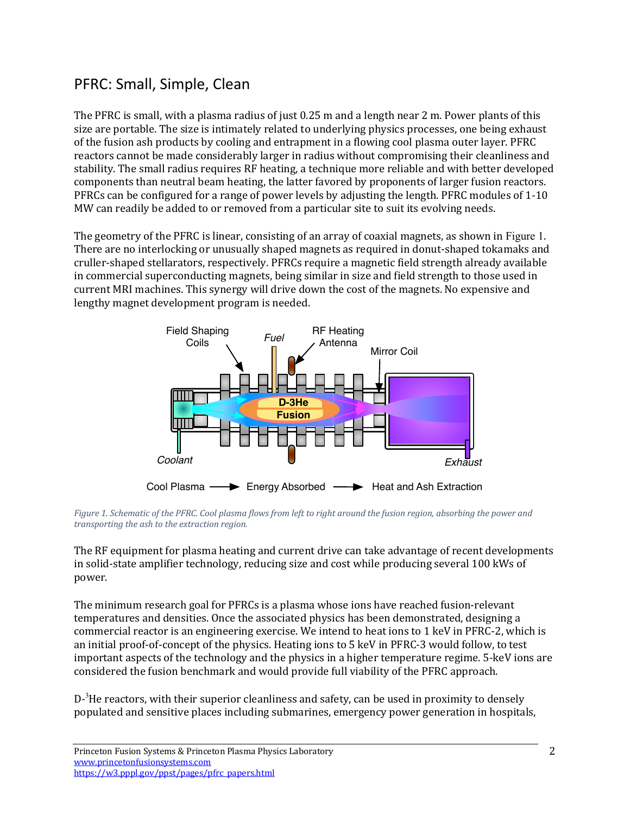# PFRC: Small, Simple, Clean

The PFRC is small, with a plasma radius of just  $0.25$  m and a length near 2 m. Power plants of this size are portable. The size is intimately related to underlying physics processes, one being exhaust of the fusion ash products by cooling and entrapment in a flowing cool plasma outer layer. PFRC reactors cannot be made considerably larger in radius without compromising their cleanliness and stability. The small radius requires RF heating, a technique more reliable and with better developed components than neutral beam heating, the latter favored by proponents of larger fusion reactors. PFRCs can be configured for a range of power levels by adjusting the length. PFRC modules of 1-10 MW can readily be added to or removed from a particular site to suit its evolving needs.

The geometry of the PFRC is linear, consisting of an array of coaxial magnets, as shown in Figure 1. There are no interlocking or unusually shaped magnets as required in donut-shaped tokamaks and cruller-shaped stellarators, respectively. PFRCs require a magnetic field strength already available in commercial superconducting magnets, being similar in size and field strength to those used in current MRI machines. This synergy will drive down the cost of the magnets. No expensive and lengthy magnet development program is needed.



*Figure 1. Schematic of the PFRC. Cool plasma flows from left to right around the fusion region, absorbing the power and transporting the ash to the extraction region.* 

The RF equipment for plasma heating and current drive can take advantage of recent developments in solid-state amplifier technology, reducing size and cost while producing several 100 kWs of power. 

The minimum research goal for PFRCs is a plasma whose ions have reached fusion-relevant temperatures and densities. Once the associated physics has been demonstrated, designing a commercial reactor is an engineering exercise. We intend to heat ions to 1 keV in PFRC-2, which is an initial proof-of-concept of the physics. Heating ions to 5 keV in PFRC-3 would follow, to test important aspects of the technology and the physics in a higher temperature regime. 5-keV ions are considered the fusion benchmark and would provide full viability of the PFRC approach.

D- $^3$ He reactors, with their superior cleanliness and safety, can be used in proximity to densely populated and sensitive places including submarines, emergency power generation in hospitals,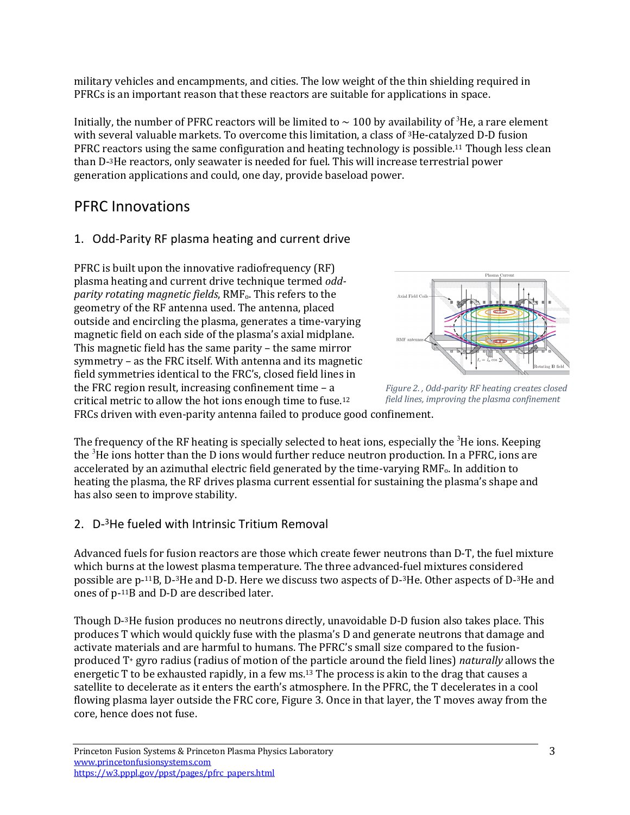military vehicles and encampments, and cities. The low weight of the thin shielding required in PFRCs is an important reason that these reactors are suitable for applications in space.

Initially, the number of PFRC reactors will be limited to  $\sim$  100 by availability of <sup>3</sup>He, a rare element with several valuable markets. To overcome this limitation, a class of  $3$ He-catalyzed D-D fusion PFRC reactors using the same configuration and heating technology is possible.<sup>11</sup> Though less clean than D-3He reactors, only seawater is needed for fuel. This will increase terrestrial power generation applications and could, one day, provide baseload power.

### PFRC Innovations

### 1. Odd-Parity RF plasma heating and current drive

PFRC is built upon the innovative radiofrequency  $(RF)$ plasma heating and current drive technique termed *oddparity rotating magnetic fields, RMF<sub>0</sub>. This refers to the* geometry of the RF antenna used. The antenna, placed outside and encircling the plasma, generates a time-varying magnetic field on each side of the plasma's axial midplane. This magnetic field has the same parity  $-$  the same mirror symmetry – as the FRC itself. With antenna and its magnetic field symmetries identical to the FRC's, closed field lines in the FRC region result, increasing confinement time  $- a$ critical metric to allow the hot ions enough time to fuse.<sup>12</sup>



Figure 2., Odd-parity RF heating creates closed *field lines, improving the plasma confinement*

FRCs driven with even-parity antenna failed to produce good confinement.

The frequency of the RF heating is specially selected to heat ions, especially the  ${}^{3}$ He ions. Keeping the  $^3$ He ions hotter than the D ions would further reduce neutron production. In a PFRC, ions are accelerated by an azimuthal electric field generated by the time-varying RMF<sub>0</sub>. In addition to heating the plasma, the RF drives plasma current essential for sustaining the plasma's shape and has also seen to improve stability.

#### 2. D-3He fueled with Intrinsic Tritium Removal

Advanced fuels for fusion reactors are those which create fewer neutrons than D-T, the fuel mixture which burns at the lowest plasma temperature. The three advanced-fuel mixtures considered possible are  $p^{-11}B$ , D-3He and D-D. Here we discuss two aspects of D-3He. Other aspects of D-3He and ones of p-<sup>11</sup>B and D-D are described later.

Though D-3He fusion produces no neutrons directly, unavoidable D-D fusion also takes place. This produces T which would quickly fuse with the plasma's D and generate neutrons that damage and activate materials and are harmful to humans. The PFRC's small size compared to the fusionproduced T<sup>+</sup> gyro radius (radius of motion of the particle around the field lines) *naturally* allows the energetic T to be exhausted rapidly, in a few ms.<sup>13</sup> The process is akin to the drag that causes a satellite to decelerate as it enters the earth's atmosphere. In the PFRC, the T decelerates in a cool flowing plasma layer outside the FRC core, Figure 3. Once in that layer, the T moves away from the core, hence does not fuse.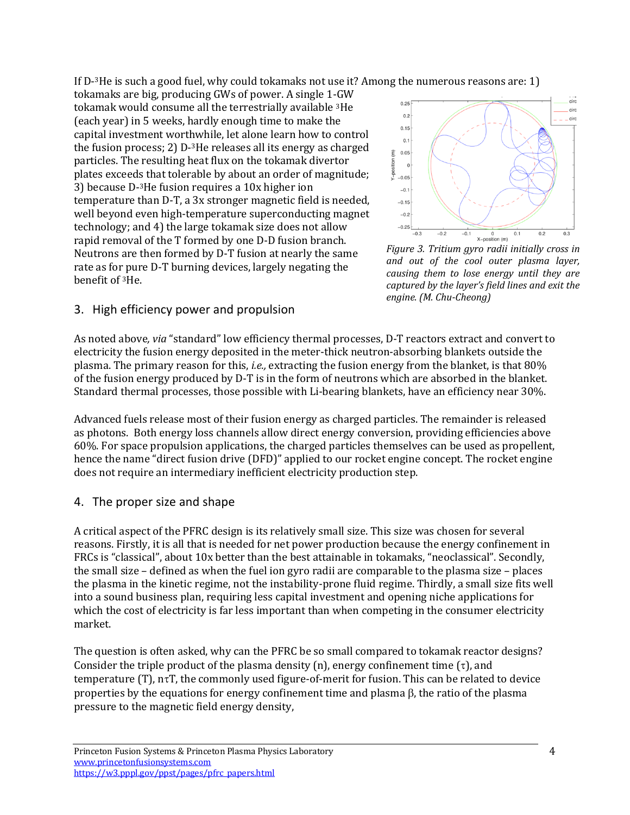If  $D^{-3}$ He is such a good fuel, why could tokamaks not use it? Among the numerous reasons are: 1)

tokamaks are big, producing GWs of power. A single 1-GW tokamak would consume all the terrestrially available <sup>3</sup>He (each year) in 5 weeks, hardly enough time to make the capital investment worthwhile, let alone learn how to control the fusion process; 2)  $D^{-3}$ He releases all its energy as charged particles. The resulting heat flux on the tokamak divertor plates exceeds that tolerable by about an order of magnitude; 3) because D-<sup>3</sup>He fusion requires a 10x higher ion temperature than D-T, a 3x stronger magnetic field is needed, well beyond even high-temperature superconducting magnet technology; and 4) the large tokamak size does not allow rapid removal of the T formed by one D-D fusion branch. Neutrons are then formed by D-T fusion at nearly the same rate as for pure D-T burning devices, largely negating the benefit of <sup>3</sup>He.



Figure 3. Tritium gyro radii initially cross in *and out of the cool outer plasma layer, causing them to lose energy until they are captured by the layer's field lines and exit the engine. (M. Chu-Cheong)*

#### 3. High efficiency power and propulsion

As noted above, *via* "standard" low efficiency thermal processes, D-T reactors extract and convert to electricity the fusion energy deposited in the meter-thick neutron-absorbing blankets outside the plasma. The primary reason for this, *i.e.*, extracting the fusion energy from the blanket, is that 80% of the fusion energy produced by D-T is in the form of neutrons which are absorbed in the blanket. Standard thermal processes, those possible with Li-bearing blankets, have an efficiency near 30%.

Advanced fuels release most of their fusion energy as charged particles. The remainder is released as photons. Both energy loss channels allow direct energy conversion, providing efficiencies above 60%. For space propulsion applications, the charged particles themselves can be used as propellent, hence the name "direct fusion drive (DFD)" applied to our rocket engine concept. The rocket engine does not require an intermediary inefficient electricity production step.

#### 4. The proper size and shape

A critical aspect of the PFRC design is its relatively small size. This size was chosen for several reasons. Firstly, it is all that is needed for net power production because the energy confinement in FRCs is "classical", about 10x better than the best attainable in tokamaks, "neoclassical". Secondly, the small size – defined as when the fuel ion gyro radii are comparable to the plasma size – places the plasma in the kinetic regime, not the instability-prone fluid regime. Thirdly, a small size fits well into a sound business plan, requiring less capital investment and opening niche applications for which the cost of electricity is far less important than when competing in the consumer electricity market.

The question is often asked, why can the PFRC be so small compared to tokamak reactor designs? Consider the triple product of the plasma density (n), energy confinement time  $(\tau)$ , and  $temperature(T)$ ,  $n\tau T$ , the commonly used figure-of-merit for fusion. This can be related to device properties by the equations for energy confinement time and plasma  $\beta$ , the ratio of the plasma pressure to the magnetic field energy density,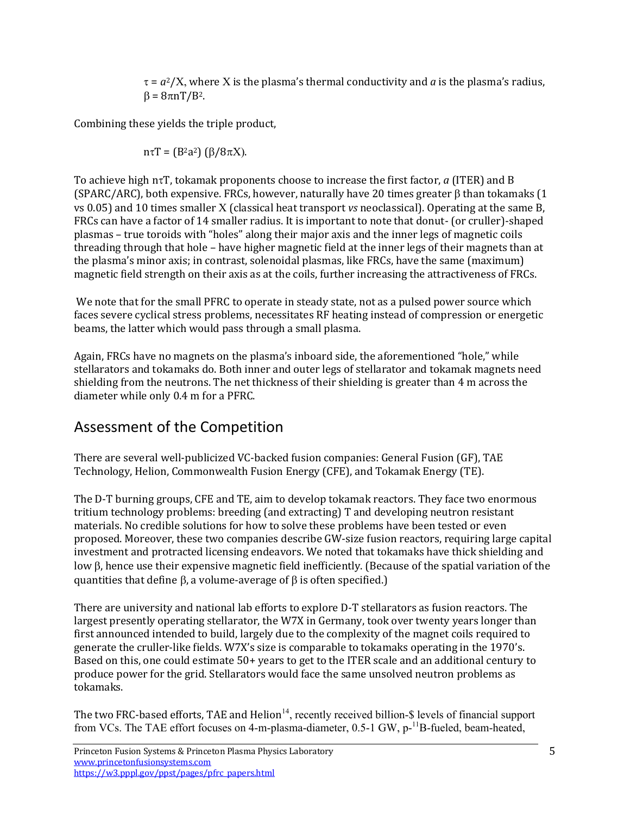$\tau = a^2/X$ , where X is the plasma's thermal conductivity and *a* is the plasma's radius,  $\beta = 8\pi nT/B^2$ .

Combining these yields the triple product,

$$
n\tau T = (B^2a^2) (\beta/8\pi X).
$$

To achieve high ntT, tokamak proponents choose to increase the first factor, *a* (ITER) and B (SPARC/ARC), both expensive. FRCs, however, naturally have 20 times greater  $\beta$  than tokamaks (1) vs 0.05) and 10 times smaller X (classical heat transport *vs* neoclassical). Operating at the same B, FRCs can have a factor of 14 smaller radius. It is important to note that donut- (or cruller)-shaped plasmas – true toroids with "holes" along their major axis and the inner legs of magnetic coils threading through that hole  $-$  have higher magnetic field at the inner legs of their magnets than at the plasma's minor axis; in contrast, solenoidal plasmas, like FRCs, have the same (maximum) magnetic field strength on their axis as at the coils, further increasing the attractiveness of FRCs.

We note that for the small PFRC to operate in steady state, not as a pulsed power source which faces severe cyclical stress problems, necessitates RF heating instead of compression or energetic beams, the latter which would pass through a small plasma.

Again, FRCs have no magnets on the plasma's inboard side, the aforementioned "hole," while stellarators and tokamaks do. Both inner and outer legs of stellarator and tokamak magnets need shielding from the neutrons. The net thickness of their shielding is greater than 4 m across the diameter while only 0.4 m for a PFRC.

### Assessment of the Competition

There are several well-publicized VC-backed fusion companies: General Fusion (GF), TAE Technology, Helion, Commonwealth Fusion Energy (CFE), and Tokamak Energy (TE).

The D-T burning groups, CFE and TE, aim to develop tokamak reactors. They face two enormous tritium technology problems: breeding (and extracting) T and developing neutron resistant materials. No credible solutions for how to solve these problems have been tested or even proposed. Moreover, these two companies describe GW-size fusion reactors, requiring large capital investment and protracted licensing endeavors. We noted that tokamaks have thick shielding and low  $\beta$ , hence use their expensive magnetic field inefficiently. (Because of the spatial variation of the quantities that define  $\beta$ , a volume-average of  $\beta$  is often specified.)

There are university and national lab efforts to explore D-T stellarators as fusion reactors. The largest presently operating stellarator, the W7X in Germany, took over twenty years longer than first announced intended to build, largely due to the complexity of the magnet coils required to generate the cruller-like fields. W7X's size is comparable to tokamaks operating in the 1970's. Based on this, one could estimate 50+ years to get to the ITER scale and an additional century to produce power for the grid. Stellarators would face the same unsolved neutron problems as tokamaks.

The two FRC-based efforts, TAE and  $\text{Helion}^{14}$ , recently received billion-\$ levels of financial support from VCs. The TAE effort focuses on 4-m-plasma-diameter, 0.5-1 GW, p-<sup>11</sup>B-fueled, beam-heated,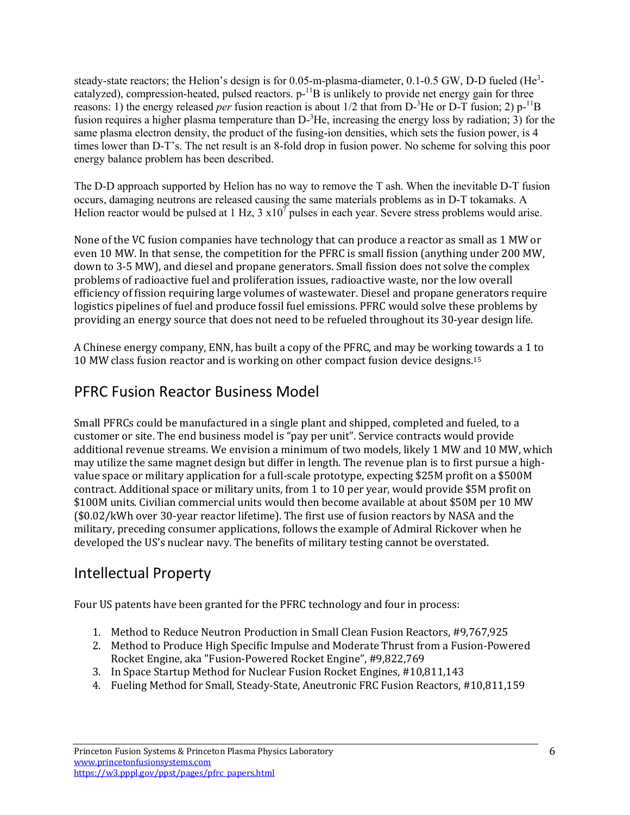steady-state reactors; the Helion's design is for 0.05-m-plasma-diameter, 0.1-0.5 GW, D-D fueled (He<sup>3</sup>catalyzed), compression-heated, pulsed reactors.  $p^{-1}B$  is unlikely to provide net energy gain for three reasons: 1) the energy released *per* fusion reaction is about 1/2 that from D-<sup>3</sup>He or D-T fusion; 2) p-<sup>11</sup>B fusion requires a higher plasma temperature than  $D^{-3}$ He, increasing the energy loss by radiation; 3) for the same plasma electron density, the product of the fusing-ion densities, which sets the fusion power, is 4 times lower than D-T's. The net result is an 8-fold drop in fusion power. No scheme for solving this poor energy balance problem has been described.

The D-D approach supported by Helion has no way to remove the T ash. When the inevitable D-T fusion occurs, damaging neutrons are released causing the same materials problems as in D-T tokamaks. A Helion reactor would be pulsed at  $1 \text{ Hz}$ ,  $3 \times 10^7$  pulses in each year. Severe stress problems would arise.

None of the VC fusion companies have technology that can produce a reactor as small as 1 MW or even 10 MW. In that sense, the competition for the PFRC is small fission (anything under 200 MW, down to 3-5 MW), and diesel and propane generators. Small fission does not solve the complex problems of radioactive fuel and proliferation issues, radioactive waste, nor the low overall efficiency of fission requiring large volumes of wastewater. Diesel and propane generators require logistics pipelines of fuel and produce fossil fuel emissions. PFRC would solve these problems by providing an energy source that does not need to be refueled throughout its 30-year design life.

A Chinese energy company, ENN, has built a copy of the PFRC, and may be working towards a 1 to 10 MW class fusion reactor and is working on other compact fusion device designs.<sup>15</sup>

### PFRC Fusion Reactor Business Model

Small PFRCs could be manufactured in a single plant and shipped, completed and fueled, to a customer or site. The end business model is "pay per unit". Service contracts would provide additional revenue streams. We envision a minimum of two models, likely 1 MW and 10 MW, which may utilize the same magnet design but differ in length. The revenue plan is to first pursue a highvalue space or military application for a full-scale prototype, expecting \$25M profit on a \$500M contract. Additional space or military units, from 1 to 10 per year, would provide \$5M profit on \$100M units. Civilian commercial units would then become available at about \$50M per 10 MW (\$0.02/kWh over 30-year reactor lifetime). The first use of fusion reactors by NASA and the military, preceding consumer applications, follows the example of Admiral Rickover when he developed the US's nuclear navy. The benefits of military testing cannot be overstated.

# Intellectual Property

Four US patents have been granted for the PFRC technology and four in process:

- 1. Method to Reduce Neutron Production in Small Clean Fusion Reactors, #9,767,925
- 2. Method to Produce High Specific Impulse and Moderate Thrust from a Fusion-Powered Rocket Engine, aka "Fusion-Powered Rocket Engine", #9,822,769
- 3. In Space Startup Method for Nuclear Fusion Rocket Engines, #10,811,143
- 4. Fueling Method for Small, Steady-State, Aneutronic FRC Fusion Reactors, #10,811,159